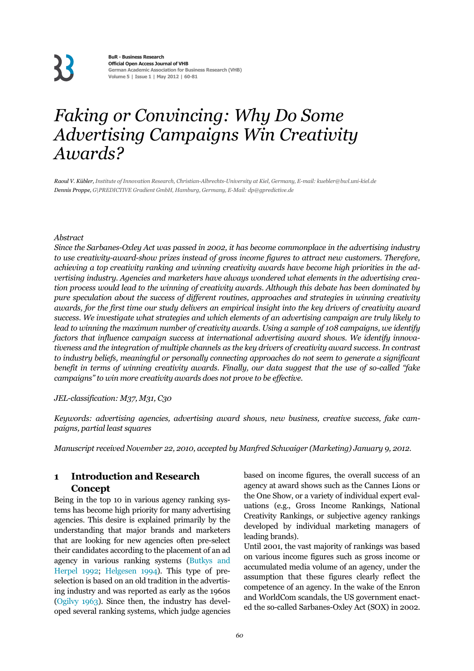33

**BuR - Business Research Official Open Access Journal of VHB German Academic Association for Business Research (VHB) Volume 5 | Issue 1 | May 2012 | 60-81** 

### *Faking or Convincing: Why Do Some Advertising Campaigns Win Creativity Awards?*

*Raoul V. Kübler, Institute of Innovation Research, Christian-Albrechts-University at Kiel, Germany, E-mail: kuebler@bwl.uni-kiel.de Dennis Proppe, G|PREDICTIVE Gradient GmbH, Hamburg, Germany, E-Mail: dp@gpredictive.de*

#### *Abstract*

*Since the Sarbanes-Oxley Act was passed in 2002, it has become commonplace in the advertising industry to use creativity-award-show prizes instead of gross income figures to attract new customers. Therefore, achieving a top creativity ranking and winning creativity awards have become high priorities in the advertising industry. Agencies and marketers have always wondered what elements in the advertising creation process would lead to the winning of creativity awards. Although this debate has been dominated by pure speculation about the success of different routines, approaches and strategies in winning creativity awards, for the first time our study delivers an empirical insight into the key drivers of creativity award success. We investigate what strategies and which elements of an advertising campaign are truly likely to lead to winning the maximum number of creativity awards. Using a sample of 108 campaigns, we identify factors that influence campaign success at international advertising award shows. We identify innovativeness and the integration of multiple channels as the key drivers of creativity award success. In contrast to industry beliefs, meaningful or personally connecting approaches do not seem to generate a significant benefit in terms of winning creativity awards. Finally, our data suggest that the use of so-called "fake campaigns" to win more creativity awards does not prove to be effective.* 

#### *JEL-classification: M37, M31, C30*

*Keywords: advertising agencies, advertising award shows, new business, creative success, fake campaigns, partial least squares* 

*Manuscript received November 22, 2010, accepted by Manfred Schwaiger (Marketing) January 9, 2012.* 

#### **1 Introduction and Research Concept**

Being in the top 10 in various agency ranking systems has become high priority for many advertising agencies. This desire is explained primarily by the understanding that major brands and marketers that are looking for new agencies often pre-select their candidates according to the placement of an ad agency in various ranking systems (Butkys and Herpel 1992; Helgesen 1994). This type of preselection is based on an old tradition in the advertising industry and was reported as early as the 1960s (Ogilvy 1963). Since then, the industry has developed several ranking systems, which judge agencies based on income figures, the overall success of an agency at award shows such as the Cannes Lions or the One Show, or a variety of individual expert evaluations (e.g., Gross Income Rankings, National Creativity Rankings, or subjective agency rankings developed by individual marketing managers of leading brands).

Until 2001, the vast majority of rankings was based on various income figures such as gross income or accumulated media volume of an agency, under the assumption that these figures clearly reflect the competence of an agency. In the wake of the Enron and WorldCom scandals, the US government enacted the so-called Sarbanes-Oxley Act (SOX) in 2002.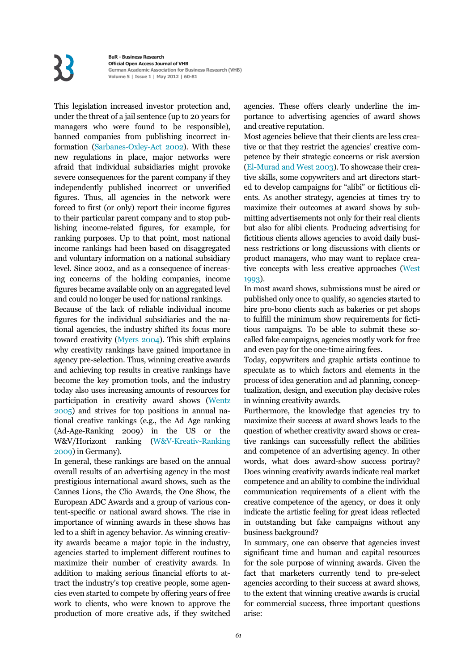# $\mathbf{K}$

**BuR - Business Research Official Open Access Journal of VHB German Academic Association for Business Research (VHB) Volume 5 | Issue 1 | May 2012 | 60-81** 

This legislation increased investor protection and, under the threat of a jail sentence (up to 20 years for managers who were found to be responsible), banned companies from publishing incorrect information (Sarbanes-Oxley-Act 2002). With these new regulations in place, major networks were afraid that individual subsidiaries might provoke severe consequences for the parent company if they independently published incorrect or unverified figures. Thus, all agencies in the network were forced to first (or only) report their income figures to their particular parent company and to stop publishing income-related figures, for example, for ranking purposes. Up to that point, most national income rankings had been based on disaggregated and voluntary information on a national subsidiary level. Since 2002, and as a consequence of increasing concerns of the holding companies, income figures became available only on an aggregated level and could no longer be used for national rankings.

Because of the lack of reliable individual income figures for the individual subsidiaries and the national agencies, the industry shifted its focus more toward creativity (Myers 2004). This shift explains why creativity rankings have gained importance in agency pre-selection. Thus, winning creative awards and achieving top results in creative rankings have become the key promotion tools, and the industry today also uses increasing amounts of resources for participation in creativity award shows (Wentz 2005) and strives for top positions in annual national creative rankings (e.g., the Ad Age ranking (Ad-Age-Ranking 2009) in the US or the W&V/Horizont ranking (W&V-Kreativ-Ranking 2009) in Germany).

In general, these rankings are based on the annual overall results of an advertising agency in the most prestigious international award shows, such as the Cannes Lions, the Clio Awards, the One Show, the European ADC Awards and a group of various content-specific or national award shows. The rise in importance of winning awards in these shows has led to a shift in agency behavior. As winning creativity awards became a major topic in the industry, agencies started to implement different routines to maximize their number of creativity awards. In addition to making serious financial efforts to attract the industry's top creative people, some agencies even started to compete by offering years of free work to clients, who were known to approve the production of more creative ads, if they switched agencies. These offers clearly underline the importance to advertising agencies of award shows and creative reputation.

Most agencies believe that their clients are less creative or that they restrict the agencies' creative competence by their strategic concerns or risk aversion (El-Murad and West 2003). To showcase their creative skills, some copywriters and art directors started to develop campaigns for "alibi" or fictitious clients. As another strategy, agencies at times try to maximize their outcomes at award shows by submitting advertisements not only for their real clients but also for alibi clients. Producing advertising for fictitious clients allows agencies to avoid daily business restrictions or long discussions with clients or product managers, who may want to replace creative concepts with less creative approaches (West 1993).

In most award shows, submissions must be aired or published only once to qualify, so agencies started to hire pro-bono clients such as bakeries or pet shops to fulfill the minimum show requirements for fictitious campaigns. To be able to submit these socalled fake campaigns, agencies mostly work for free and even pay for the one-time airing fees.

Today, copywriters and graphic artists continue to speculate as to which factors and elements in the process of idea generation and ad planning, conceptualization, design, and execution play decisive roles in winning creativity awards.

Furthermore, the knowledge that agencies try to maximize their success at award shows leads to the question of whether creativity award shows or creative rankings can successfully reflect the abilities and competence of an advertising agency. In other words, what does award-show success portray? Does winning creativity awards indicate real market competence and an ability to combine the individual communication requirements of a client with the creative competence of the agency, or does it only indicate the artistic feeling for great ideas reflected in outstanding but fake campaigns without any business background?

In summary, one can observe that agencies invest significant time and human and capital resources for the sole purpose of winning awards. Given the fact that marketers currently tend to pre-select agencies according to their success at award shows, to the extent that winning creative awards is crucial for commercial success, three important questions arise: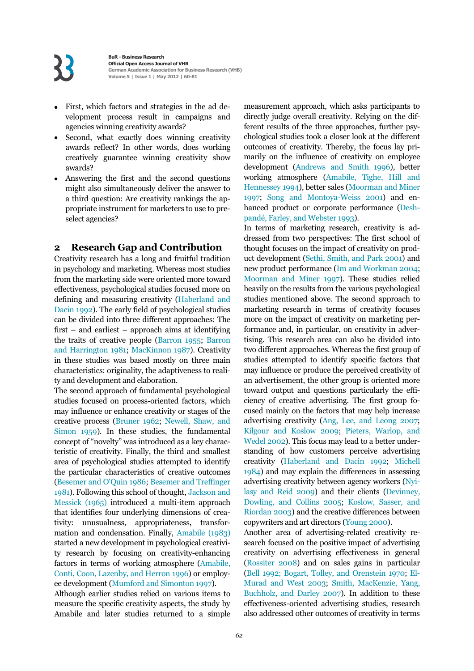- - First, which factors and strategies in the ad development process result in campaigns and agencies winning creativity awards?
- $\bullet$  Second, what exactly does winning creativity awards reflect? In other words, does working creatively guarantee winning creativity show awards?
- - Answering the first and the second questions might also simultaneously deliver the answer to a third question: Are creativity rankings the appropriate instrument for marketers to use to preselect agencies?

#### **2 Research Gap and Contribution**

Creativity research has a long and fruitful tradition in psychology and marketing. Whereas most studies from the marketing side were oriented more toward effectiveness, psychological studies focused more on defining and measuring creativity (Haberland and Dacin 1992). The early field of psychological studies can be divided into three different approaches: The first – and earliest – approach aims at identifying the traits of creative people (Barron 1955; Barron and Harrington 1981; MacKinnon 1987). Creativity in these studies was based mostly on three main characteristics: originality, the adaptiveness to reality and development and elaboration.

The second approach of fundamental psychological studies focused on process-oriented factors, which may influence or enhance creativity or stages of the creative process (Bruner 1962; Newell, Shaw, and Simon 1959). In these studies, the fundamental concept of "novelty" was introduced as a key characteristic of creativity. Finally, the third and smallest area of psychological studies attempted to identify the particular characteristics of creative outcomes (Besemer and O'Quin 1986; Besemer and Treffinger 1981). Following this school of thought, Jackson and Messick (1965) introduced a multi-item approach that identifies four underlying dimensions of creativity: unusualness, appropriateness, transformation and condensation. Finally, Amabile (1983) started a new development in psychological creativity research by focusing on creativity-enhancing factors in terms of working atmosphere (Amabile, Conti, Coon, Lazenby, and Herron 1996) or employee development (Mumford and Simonton 1997).

Although earlier studies relied on various items to measure the specific creativity aspects, the study by Amabile and later studies returned to a simple measurement approach, which asks participants to directly judge overall creativity. Relying on the different results of the three approaches, further psychological studies took a closer look at the different outcomes of creativity. Thereby, the focus lay primarily on the influence of creativity on employee development (Andrews and Smith 1996), better working atmosphere (Amabile, Tighe, Hill and Hennessey 1994), better sales (Moorman and Miner 1997; Song and Montoya-Weiss 2001) and enhanced product or corporate performance (Deshpandé, Farley, and Webster 1993).

In terms of marketing research, creativity is addressed from two perspectives: The first school of thought focuses on the impact of creativity on product development (Sethi, Smith, and Park 2001) and new product performance (Im and Workman 2004; Moorman and Miner 1997). These studies relied heavily on the results from the various psychological studies mentioned above. The second approach to marketing research in terms of creativity focuses more on the impact of creativity on marketing performance and, in particular, on creativity in advertising. This research area can also be divided into two different approaches. Whereas the first group of studies attempted to identify specific factors that may influence or produce the perceived creativity of an advertisement, the other group is oriented more toward output and questions particularly the efficiency of creative advertising. The first group focused mainly on the factors that may help increase advertising creativity (Ang, Lee, and Leong 2007; Kilgour and Koslow 2009; Pieters, Warlop, and Wedel 2002). This focus may lead to a better understanding of how customers perceive advertising creativity (Haberland and Dacin 1992; Michell 1984) and may explain the differences in assessing advertising creativity between agency workers (Nyilasy and Reid 2009) and their clients (Devinney, Dowling, and Collins 2005; Koslow, Sasser, and Riordan 2003) and the creative differences between copywriters and art directors (Young 2000).

Another area of advertising-related creativity research focused on the positive impact of advertising creativity on advertising effectiveness in general (Rossiter 2008) and on sales gains in particular (Bell 1992; Bogart, Tolley, and Orenstein 1970; El-Murad and West 2003; Smith, MacKenzie, Yang, Buchholz, and Darley 2007). In addition to these effectiveness-oriented advertising studies, research also addressed other outcomes of creativity in terms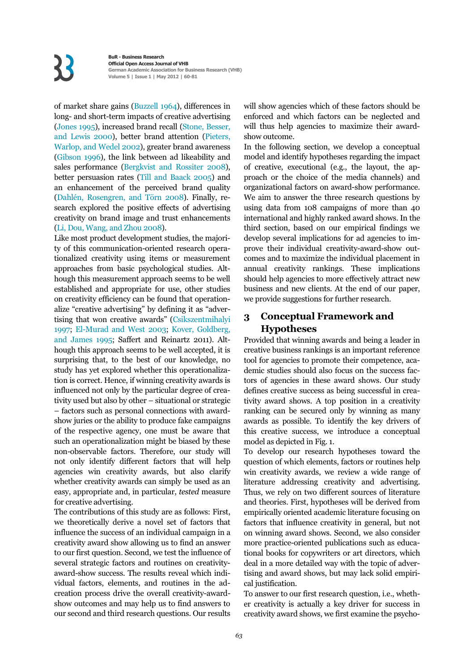of market share gains (Buzzell 1964), differences in long- and short-term impacts of creative advertising (Jones 1995), increased brand recall (Stone, Besser, and Lewis 2000), better brand attention (Pieters, Warlop, and Wedel 2002), greater brand awareness (Gibson 1996), the link between ad likeability and sales performance (Bergkvist and Rossiter 2008), better persuasion rates (Till and Baack 2005) and an enhancement of the perceived brand quality (Dahlén, Rosengren, and Törn 2008). Finally, research explored the positive effects of advertising creativity on brand image and trust enhancements (Li, Dou, Wang, and Zhou 2008).

Like most product development studies, the majority of this communication-oriented research operationalized creativity using items or measurement approaches from basic psychological studies. Although this measurement approach seems to be well established and appropriate for use, other studies on creativity efficiency can be found that operationalize "creative advertising" by defining it as "advertising that won creative awards" (Csikszentmihalyi 1997; El-Murad and West 2003; Kover, Goldberg, and James 1995; Saffert and Reinartz 2011). Although this approach seems to be well accepted, it is surprising that, to the best of our knowledge, no study has yet explored whether this operationalization is correct. Hence, if winning creativity awards is influenced not only by the particular degree of creativity used but also by other – situational or strategic – factors such as personal connections with awardshow juries or the ability to produce fake campaigns of the respective agency, one must be aware that such an operationalization might be biased by these non-observable factors. Therefore, our study will not only identify different factors that will help agencies win creativity awards, but also clarify whether creativity awards can simply be used as an easy, appropriate and, in particular, *tested* measure for creative advertising.

The contributions of this study are as follows: First, we theoretically derive a novel set of factors that influence the success of an individual campaign in a creativity award show allowing us to find an answer to our first question. Second, we test the influence of several strategic factors and routines on creativityaward-show success. The results reveal which individual factors, elements, and routines in the adcreation process drive the overall creativity-awardshow outcomes and may help us to find answers to our second and third research questions. Our results will show agencies which of these factors should be enforced and which factors can be neglected and will thus help agencies to maximize their awardshow outcome.

In the following section, we develop a conceptual model and identify hypotheses regarding the impact of creative, executional (e.g., the layout, the approach or the choice of the media channels) and organizational factors on award-show performance. We aim to answer the three research questions by using data from 108 campaigns of more than 40 international and highly ranked award shows. In the third section, based on our empirical findings we develop several implications for ad agencies to improve their individual creativity-award-show outcomes and to maximize the individual placement in annual creativity rankings. These implications should help agencies to more effectively attract new business and new clients. At the end of our paper, we provide suggestions for further research.

### **3 Conceptual Framework and Hypotheses**

Provided that winning awards and being a leader in creative business rankings is an important reference tool for agencies to promote their competence, academic studies should also focus on the success factors of agencies in these award shows. Our study defines creative success as being successful in creativity award shows. A top position in a creativity ranking can be secured only by winning as many awards as possible. To identify the key drivers of this creative success, we introduce a conceptual model as depicted in Fig. 1.

To develop our research hypotheses toward the question of which elements, factors or routines help win creativity awards, we review a wide range of literature addressing creativity and advertising. Thus, we rely on two different sources of literature and theories. First, hypotheses will be derived from empirically oriented academic literature focusing on factors that influence creativity in general, but not on winning award shows. Second, we also consider more practice-oriented publications such as educational books for copywriters or art directors, which deal in a more detailed way with the topic of advertising and award shows, but may lack solid empirical justification.

To answer to our first research question, i.e., whether creativity is actually a key driver for success in creativity award shows, we first examine the psycho-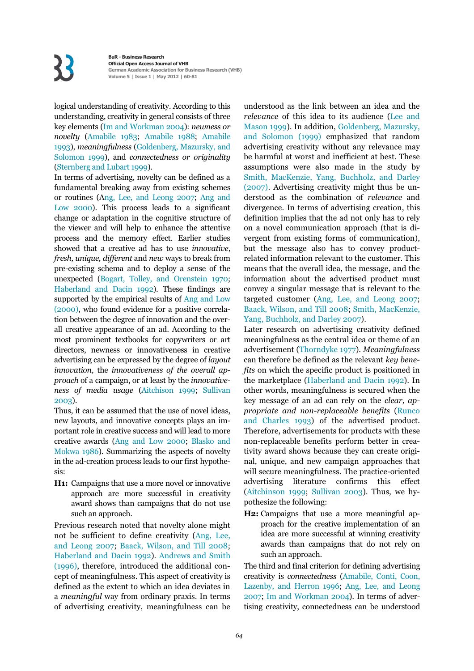logical understanding of creativity. According to this understanding, creativity in general consists of three key elements (Im and Workman 2004): *newness or novelty* (Amabile 1983; Amabile 1988; Amabile 1993), *meaningfulness* (Goldenberg, Mazursky, and Solomon 1999), and *connectedness or originality* (Sternberg and Lubart 1999).

In terms of advertising, novelty can be defined as a fundamental breaking away from existing schemes or routines (Ang, Lee, and Leong 2007; Ang and Low 2000). This process leads to a significant change or adaptation in the cognitive structure of the viewer and will help to enhance the attentive process and the memory effect. Earlier studies showed that a creative ad has to use *innovative, fresh, unique, different* and *new* ways to break from pre-existing schema and to deploy a sense of the unexpected (Bogart, Tolley, and Orenstein 1970; Haberland and Dacin 1992). These findings are supported by the empirical results of Ang and Low (2000), who found evidence for a positive correlation between the degree of innovation and the overall creative appearance of an ad. According to the most prominent textbooks for copywriters or art directors, newness or innovativeness in creative advertising can be expressed by the degree of *layout innovation*, the *innovativeness of the overall approach* of a campaign, or at least by the *innovativeness of media usage* (Aitchison 1999; Sullivan 2003).

Thus, it can be assumed that the use of novel ideas, new layouts, and innovative concepts plays an important role in creative success and will lead to more creative awards (Ang and Low 2000; Blasko and Mokwa 1986). Summarizing the aspects of novelty in the ad-creation process leads to our first hypothesis:

**H1:** Campaigns that use a more novel or innovative approach are more successful in creativity award shows than campaigns that do not use such an approach.

Previous research noted that novelty alone might not be sufficient to define creativity (Ang, Lee, and Leong 2007; Baack, Wilson, and Till 2008; Haberland and Dacin 1992). Andrews and Smith (1996), therefore, introduced the additional concept of meaningfulness. This aspect of creativity is defined as the extent to which an idea deviates in a *meaningful* way from ordinary praxis. In terms of advertising creativity, meaningfulness can be understood as the link between an idea and the *relevance* of this idea to its audience (Lee and Mason 1999). In addition, Goldenberg, Mazursky, and Solomon (1999) emphasized that random advertising creativity without any relevance may be harmful at worst and inefficient at best. These assumptions were also made in the study by Smith, MacKenzie, Yang, Buchholz, and Darley (2007). Advertising creativity might thus be understood as the combination of *relevance* and divergence. In terms of advertising creation, this definition implies that the ad not only has to rely on a novel communication approach (that is divergent from existing forms of communication), but the message also has to convey productrelated information relevant to the customer. This means that the overall idea, the message, and the information about the advertised product must convey a singular message that is relevant to the targeted customer (Ang, Lee, and Leong 2007; Baack, Wilson, and Till 2008; Smith, MacKenzie, Yang, Buchholz, and Darley 2007).

Later research on advertising creativity defined meaningfulness as the central idea or theme of an advertisement (Thorndyke 1977). *Meaningfulness* can therefore be defined as the relevant *key benefits* on which the specific product is positioned in the marketplace (Haberland and Dacin 1992). In other words, meaningfulness is secured when the key message of an ad can rely on the *clear, appropriate and non-replaceable benefits* (Runco and Charles 1993) of the advertised product. Therefore, advertisements for products with these non-replaceable benefits perform better in creativity award shows because they can create original, unique, and new campaign approaches that will secure meaningfulness. The practice-oriented advertising literature confirms this effect (Aitchinson 1999; Sullivan 2003). Thus, we hypothesize the following:

**H2:** Campaigns that use a more meaningful approach for the creative implementation of an idea are more successful at winning creativity awards than campaigns that do not rely on such an approach.

The third and final criterion for defining advertising creativity is *connectedness* (Amabile, Conti, Coon, Lazenby, and Herron 1996; Ang, Lee, and Leong 2007; Im and Workman 2004). In terms of advertising creativity, connectedness can be understood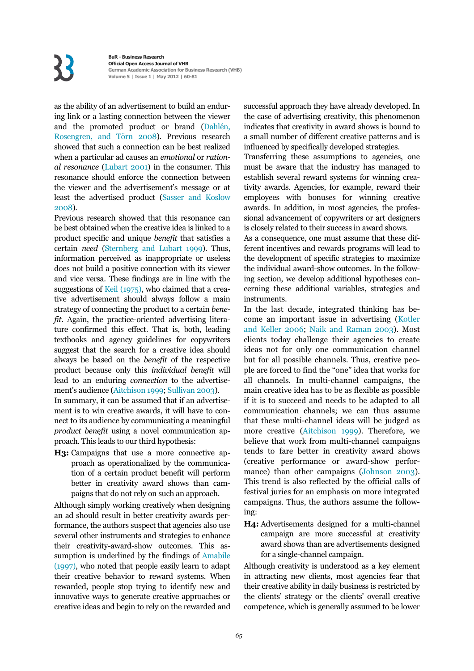as the ability of an advertisement to build an enduring link or a lasting connection between the viewer and the promoted product or brand (Dahlén, Rosengren, and Törn 2008). Previous research showed that such a connection can be best realized when a particular ad causes an *emotional* or *rational resonance* (Lubart 2001) in the consumer. This resonance should enforce the connection between the viewer and the advertisement's message or at least the advertised product (Sasser and Koslow 2008).

Previous research showed that this resonance can be best obtained when the creative idea is linked to a product specific and unique *benefit* that satisfies a certain *need* (Sternberg and Lubart 1999). Thus, information perceived as inappropriate or useless does not build a positive connection with its viewer and vice versa. These findings are in line with the suggestions of Keil (1975), who claimed that a creative advertisement should always follow a main strategy of connecting the product to a certain *benefit*. Again, the practice-oriented advertising literature confirmed this effect. That is, both, leading textbooks and agency guidelines for copywriters suggest that the search for a creative idea should always be based on the *benefit* of the respective product because only this *individual benefit* will lead to an enduring *connection* to the advertisement's audience (Aitchison 1999; Sullivan 2003).

In summary, it can be assumed that if an advertisement is to win creative awards, it will have to connect to its audience by communicating a meaningful *product benefit* using a novel communication approach. This leads to our third hypothesis:

**H3:** Campaigns that use a more connective approach as operationalized by the communication of a certain product benefit will perform better in creativity award shows than campaigns that do not rely on such an approach.

Although simply working creatively when designing an ad should result in better creativity awards performance, the authors suspect that agencies also use several other instruments and strategies to enhance their creativity-award-show outcomes. This assumption is underlined by the findings of Amabile (1997), who noted that people easily learn to adapt their creative behavior to reward systems. When rewarded, people stop trying to identify new and innovative ways to generate creative approaches or creative ideas and begin to rely on the rewarded and successful approach they have already developed. In the case of advertising creativity, this phenomenon indicates that creativity in award shows is bound to a small number of different creative patterns and is influenced by specifically developed strategies.

Transferring these assumptions to agencies, one must be aware that the industry has managed to establish several reward systems for winning creativity awards. Agencies, for example, reward their employees with bonuses for winning creative awards. In addition, in most agencies, the professional advancement of copywriters or art designers is closely related to their success in award shows.

As a consequence, one must assume that these different incentives and rewards programs will lead to the development of specific strategies to maximize the individual award-show outcomes. In the following section, we develop additional hypotheses concerning these additional variables, strategies and instruments.

In the last decade, integrated thinking has become an important issue in advertising (Kotler and Keller 2006; Naik and Raman 2003). Most clients today challenge their agencies to create ideas not for only one communication channel but for all possible channels. Thus, creative people are forced to find the "one" idea that works for all channels. In multi-channel campaigns, the main creative idea has to be as flexible as possible if it is to succeed and needs to be adapted to all communication channels; we can thus assume that these multi-channel ideas will be judged as more creative (Aitchison 1999). Therefore, we believe that work from multi-channel campaigns tends to fare better in creativity award shows (creative performance or award-show performance) than other campaigns (Johnson 2003). This trend is also reflected by the official calls of festival juries for an emphasis on more integrated campaigns. Thus, the authors assume the following:

**H4:** Advertisements designed for a multi-channel campaign are more successful at creativity award shows than are advertisements designed for a single-channel campaign.

Although creativity is understood as a key element in attracting new clients, most agencies fear that their creative ability in daily business is restricted by the clients' strategy or the clients' overall creative competence, which is generally assumed to be lower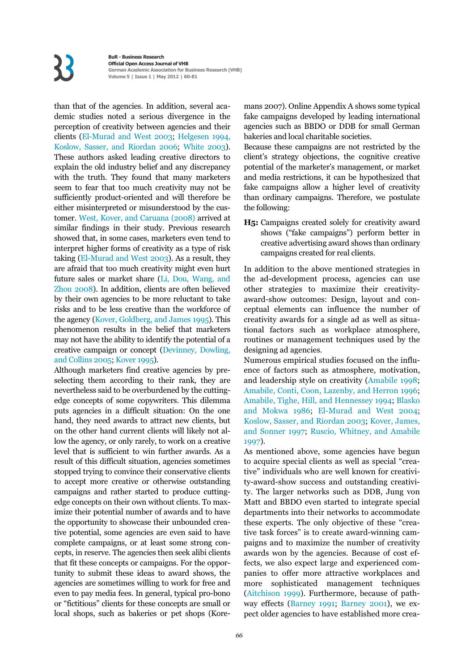## $\mathbf{K}$

**BuR - Business Research Official Open Access Journal of VHB German Academic Association for Business Research (VHB) Volume 5 | Issue 1 | May 2012 | 60-81** 

than that of the agencies. In addition, several academic studies noted a serious divergence in the perception of creativity between agencies and their clients (El-Murad and West 2003; Helgesen 1994, Koslow, Sasser, and Riordan 2006; White 2003). These authors asked leading creative directors to explain the old industry belief and any discrepancy with the truth. They found that many marketers seem to fear that too much creativity may not be sufficiently product-oriented and will therefore be either misinterpreted or misunderstood by the customer. West, Kover, and Caruana (2008) arrived at similar findings in their study. Previous research showed that, in some cases, marketers even tend to interpret higher forms of creativity as a type of risk taking (El-Murad and West 2003). As a result, they are afraid that too much creativity might even hurt future sales or market share (Li, Dou, Wang, and Zhou 2008). In addition, clients are often believed by their own agencies to be more reluctant to take risks and to be less creative than the workforce of the agency (Kover, Goldberg, and James 1995). This phenomenon results in the belief that marketers may not have the ability to identify the potential of a creative campaign or concept (Devinney, Dowling, and Collins 2005; Kover 1995).

Although marketers find creative agencies by preselecting them according to their rank, they are nevertheless said to be overburdened by the cuttingedge concepts of some copywriters. This dilemma puts agencies in a difficult situation: On the one hand, they need awards to attract new clients, but on the other hand current clients will likely not allow the agency, or only rarely, to work on a creative level that is sufficient to win further awards. As a result of this difficult situation, agencies sometimes stopped trying to convince their conservative clients to accept more creative or otherwise outstanding campaigns and rather started to produce cuttingedge concepts on their own without clients. To maximize their potential number of awards and to have the opportunity to showcase their unbounded creative potential, some agencies are even said to have complete campaigns, or at least some strong concepts, in reserve. The agencies then seek alibi clients that fit these concepts or campaigns. For the opportunity to submit these ideas to award shows, the agencies are sometimes willing to work for free and even to pay media fees. In general, typical pro-bono or "fictitious" clients for these concepts are small or local shops, such as bakeries or pet shops (Koremans 2007). Online Appendix A shows some typical fake campaigns developed by leading international agencies such as BBDO or DDB for small German bakeries and local charitable societies.

Because these campaigns are not restricted by the client's strategy objections, the cognitive creative potential of the marketer's management, or market and media restrictions, it can be hypothesized that fake campaigns allow a higher level of creativity than ordinary campaigns. Therefore, we postulate the following:

**H5:** Campaigns created solely for creativity award shows ("fake campaigns") perform better in creative advertising award shows than ordinary campaigns created for real clients.

In addition to the above mentioned strategies in the ad-development process, agencies can use other strategies to maximize their creativityaward-show outcomes: Design, layout and conceptual elements can influence the number of creativity awards for a single ad as well as situational factors such as workplace atmosphere, routines or management techniques used by the designing ad agencies.

Numerous empirical studies focused on the influence of factors such as atmosphere, motivation, and leadership style on creativity (Amabile 1998; Amabile, Conti, Coon, Lazenby, and Herron 1996; Amabile, Tighe, Hill, and Hennessey 1994; Blasko and Mokwa 1986; El-Murad and West 2004; Koslow, Sasser, and Riordan 2003; Kover, James, and Sonner 1997; Ruscio, Whitney, and Amabile 1997).

As mentioned above, some agencies have begun to acquire special clients as well as special "creative" individuals who are well known for creativity-award-show success and outstanding creativity. The larger networks such as DDB, Jung von Matt and BBDO even started to integrate special departments into their networks to accommodate these experts. The only objective of these "creative task forces" is to create award-winning campaigns and to maximize the number of creativity awards won by the agencies. Because of cost effects, we also expect large and experienced companies to offer more attractive workplaces and more sophisticated management techniques (Aitchison 1999). Furthermore, because of pathway effects (Barney 1991; Barney 2001), we expect older agencies to have established more crea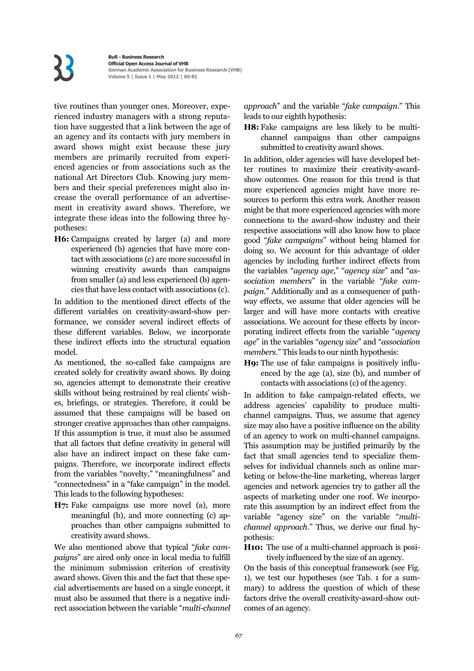tive routines than younger ones. Moreover, experienced industry managers with a strong reputation have suggested that a link between the age of an agency and its contacts with jury members in award shows might exist because these jury members are primarily recruited from experienced agencies or from associations such as the national Art Directors Club. Knowing jury members and their special preferences might also increase the overall performance of an advertisement in creativity award shows. Therefore, we integrate these ideas into the following three hypotheses:

**H6:** Campaigns created by larger (a) and more experienced (b) agencies that have more contact with associations (c) are more successful in winning creativity awards than campaigns from smaller (a) and less experienced (b) agencies that have less contact with associations (c).

In addition to the mentioned direct effects of the different variables on creativity-award-show performance, we consider several indirect effects of these different variables. Below, we incorporate these indirect effects into the structural equation model.

As mentioned, the so-called fake campaigns are created solely for creativity award shows. By doing so, agencies attempt to demonstrate their creative skills without being restrained by real clients' wishes, briefings, or strategies. Therefore, it could be assumed that these campaigns will be based on stronger creative approaches than other campaigns. If this assumption is true, it must also be assumed that all factors that define creativity in general will also have an indirect impact on these fake campaigns*.* Therefore, we incorporate indirect effects from the variables "novelty," "meaningfulness" and "connectedness" in a "fake campaign" in the model. This leads to the following hypotheses:

**H7:** Fake campaigns use more novel (a), more meaningful (b), and more connecting (c) approaches than other campaigns submitted to creativity award shows.

We also mentioned above that typical "*fake campaigns*" are aired only once in local media to fulfill the minimum submission criterion of creativity award shows. Given this and the fact that these special advertisements are based on a single concept, it must also be assumed that there is a negative indirect association between the variable "*multi-channel*  *approach*" and the variable "*fake campaign.*" This leads to our eighth hypothesis:

**H8:** Fake campaigns are less likely to be multichannel campaigns than other campaigns submitted to creativity award shows.

In addition, older agencies will have developed better routines to maximize their creativity-awardshow outcomes. One reason for this trend is that more experienced agencies might have more resources to perform this extra work. Another reason might be that more experienced agencies with more connections to the award-show industry and their respective associations will also know how to place good "*fake campaigns*" without being blamed for doing so. We account for this advantage of older agencies by including further indirect effects from the variables "*agency age,*" "*agency size*" and "*association members*" in the variable "*fake campaign.*" Additionally and as a consequence of pathway effects, we assume that older agencies will be larger and will have more contacts with creative associations. We account for these effects by incorporating indirect effects from the variable "*agency age*" in the variables "*agency size*" and "*association members.*" This leads to our ninth hypothesis:

**H9:** The use of fake campaigns is positively influenced by the age (a), size (b), and number of contacts with associations (c) of the agency.

In addition to fake campaign-related effects, we address agencies' capability to produce multichannel campaigns. Thus, we assume that agency size may also have a positive influence on the ability of an agency to work on multi-channel campaigns. This assumption may be justified primarily by the fact that small agencies tend to specialize themselves for individual channels such as online marketing or below-the-line marketing, whereas larger agencies and network agencies try to gather all the aspects of marketing under one roof. We incorporate this assumption by an indirect effect from the variable "agency size" on the variable "*multichannel approach.*" Thus, we derive our final hypothesis:

**H10:** The use of a multi-channel approach is positively influenced by the size of an agency.

On the basis of this conceptual framework (see Fig. 1), we test our hypotheses (see Tab. 1 for a summary) to address the question of which of these factors drive the overall creativity-award-show outcomes of an agency.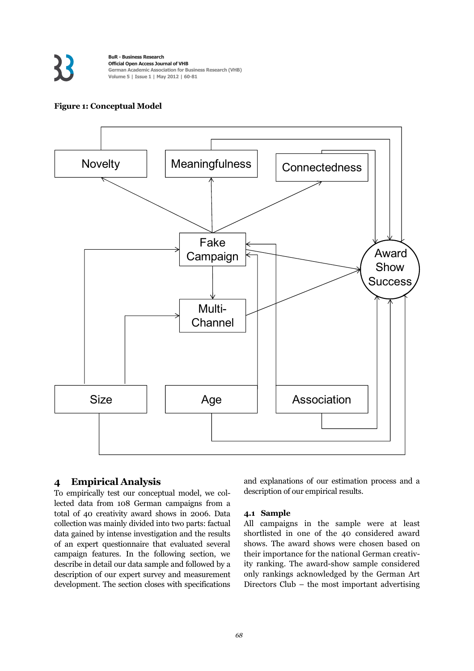

#### **Figure 1: Conceptual Model**



#### **4 Empirical Analysis**

To empirically test our conceptual model, we collected data from 108 German campaigns from a total of 40 creativity award shows in 2006. Data collection was mainly divided into two parts: factual data gained by intense investigation and the results of an expert questionnaire that evaluated several campaign features. In the following section, we describe in detail our data sample and followed by a description of our expert survey and measurement development. The section closes with specifications and explanations of our estimation process and a description of our empirical results.

#### **4.1 Sample**

All campaigns in the sample were at least shortlisted in one of the 40 considered award shows. The award shows were chosen based on their importance for the national German creativity ranking. The award-show sample considered only rankings acknowledged by the German Art Directors Club – the most important advertising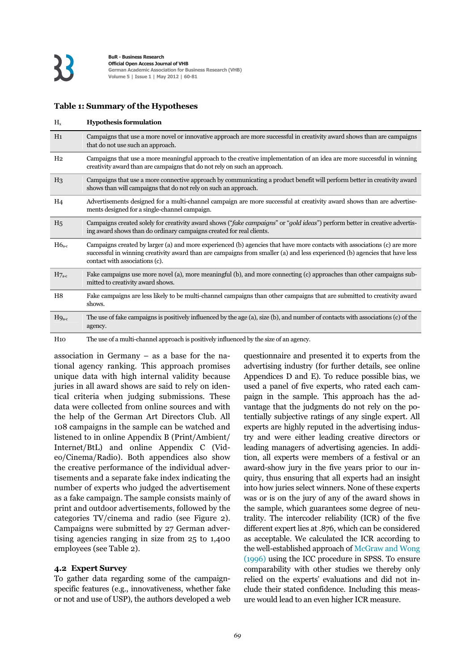#### **Table 1: Summary of the Hypotheses**

| $H_{\rm v}$    | <b>Hypothesis formulation</b>                                                                                                                                                                                                                                                             |
|----------------|-------------------------------------------------------------------------------------------------------------------------------------------------------------------------------------------------------------------------------------------------------------------------------------------|
| H <sub>1</sub> | Campaigns that use a more novel or innovative approach are more successful in creativity award shows than are campaigns<br>that do not use such an approach.                                                                                                                              |
| H <sub>2</sub> | Campaigns that use a more meaningful approach to the creative implementation of an idea are more successful in winning<br>creativity award than are campaigns that do not rely on such an approach.                                                                                       |
| H <sub>3</sub> | Campaigns that use a more connective approach by communicating a product benefit will perform better in creativity award<br>shows than will campaigns that do not rely on such an approach.                                                                                               |
| H4             | Advertisements designed for a multi-channel campaign are more successful at creativity award shows than are advertise-<br>ments designed for a single-channel campaign.                                                                                                                   |
| H <sub>5</sub> | Campaigns created solely for creativity award shows ("fake campaigns" or "gold ideas") perform better in creative advertis-<br>ing award shows than do ordinary campaigns created for real clients.                                                                                       |
| $H6_{ac}$      | Campaigns created by larger (a) and more experienced (b) agencies that have more contacts with associations (c) are more<br>successful in winning creativity award than are campaigns from smaller (a) and less experienced (b) agencies that have less<br>contact with associations (c). |
| $H7_{a-c}$     | Fake campaigns use more novel (a), more meaningful (b), and more connecting (c) approaches than other campaigns sub-<br>mitted to creativity award shows.                                                                                                                                 |
| H8             | Fake campaigns are less likely to be multi-channel campaigns than other campaigns that are submitted to creativity award<br>shows.                                                                                                                                                        |
| $Hg_{ac}$      | The use of fake campaigns is positively influenced by the age (a), size (b), and number of contacts with associations (c) of the<br>agency.                                                                                                                                               |
| H10            | The use of a multi-channel approach is positively influenced by the size of an agency.                                                                                                                                                                                                    |

association in Germany – as a base for the national agency ranking. This approach promises unique data with high internal validity because juries in all award shows are said to rely on identical criteria when judging submissions. These data were collected from online sources and with the help of the German Art Directors Club. All 108 campaigns in the sample can be watched and listened to in online Appendix B (Print/Ambient/ Internet/BtL) and online Appendix C (Video/Cinema/Radio). Both appendices also show the creative performance of the individual advertisements and a separate fake index indicating the number of experts who judged the advertisement as a fake campaign. The sample consists mainly of print and outdoor advertisements, followed by the categories TV/cinema and radio (see Figure 2). Campaigns were submitted by 27 German advertising agencies ranging in size from 25 to 1,400 employees (see Table 2).

#### **4.2 Expert Survey**

To gather data regarding some of the campaignspecific features (e.g., innovativeness, whether fake or not and use of USP), the authors developed a web questionnaire and presented it to experts from the advertising industry (for further details, see online Appendices D and E). To reduce possible bias, we used a panel of five experts, who rated each campaign in the sample. This approach has the advantage that the judgments do not rely on the potentially subjective ratings of any single expert. All experts are highly reputed in the advertising industry and were either leading creative directors or leading managers of advertising agencies. In addition, all experts were members of a festival or an award-show jury in the five years prior to our inquiry, thus ensuring that all experts had an insight into how juries select winners. None of these experts was or is on the jury of any of the award shows in the sample, which guarantees some degree of neutrality. The intercoder reliability (ICR) of the five different expert lies at .876, which can be considered as acceptable. We calculated the ICR according to the well-established approach of McGraw and Wong (1996) using the ICC procedure in SPSS. To ensure comparability with other studies we thereby only relied on the experts' evaluations and did not include their stated confidence. Including this measure would lead to an even higher ICR measure.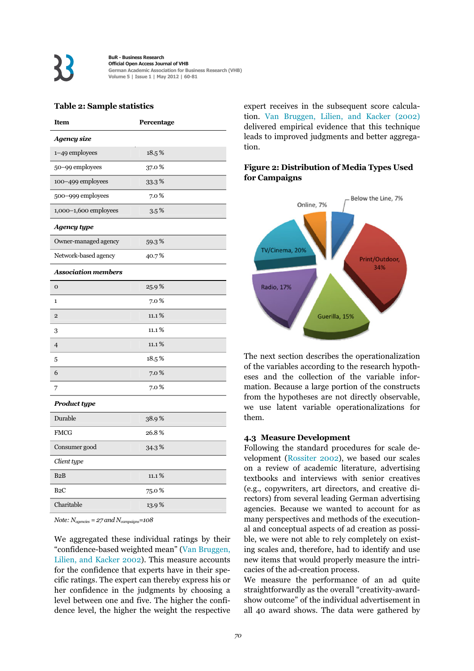#### **Table 2: Sample statistics**

| <b>Item</b>                | Percentage |  |  |
|----------------------------|------------|--|--|
| <b>Agency size</b>         |            |  |  |
| 1-49 employees             | 18.5%      |  |  |
| 50-99 employees            | 37.0%      |  |  |
| 100-499 employees          | 33.3%      |  |  |
| 500-999 employees          | 7.0%       |  |  |
| 1,000-1,600 employees      | $3.5\%$    |  |  |
| Agency type                |            |  |  |
| Owner-managed agency       | 59.3%      |  |  |
| Network-based agency       | 40.7%      |  |  |
| <b>Association members</b> |            |  |  |
| $\overline{O}$             | 25.9%      |  |  |
| $\mathbf{1}$               | 7.0%       |  |  |
| $\overline{2}$             | 11.1%      |  |  |
| 3                          | 11.1%      |  |  |
| $\overline{4}$             | 11.1%      |  |  |
| 5                          | 18.5%      |  |  |
| 6                          | 7.0%       |  |  |
| 7                          | 7.0%       |  |  |
| <b>Product type</b>        |            |  |  |
| Durable                    | 38.9%      |  |  |
| <b>FMCG</b>                | 26.8%      |  |  |
| Consumer good              | 34.3%      |  |  |
| Client type                |            |  |  |
| B2B                        | 11.1%      |  |  |
| B <sub>2</sub> C           | 75.0%      |  |  |
| Charitable                 | 13.9 %     |  |  |
|                            |            |  |  |

*Note: Nagencies = 27 and Ncampaigns=108* 

We aggregated these individual ratings by their "confidence-based weighted mean" (Van Bruggen, Lilien, and Kacker 2002). This measure accounts for the confidence that experts have in their specific ratings. The expert can thereby express his or her confidence in the judgments by choosing a level between one and five. The higher the confidence level, the higher the weight the respective expert receives in the subsequent score calculation. Van Bruggen, Lilien, and Kacker (2002) delivered empirical evidence that this technique leads to improved judgments and better aggregation.

#### **Figure 2: Distribution of Media Types Used for Campaigns**



The next section describes the operationalization of the variables according to the research hypotheses and the collection of the variable information. Because a large portion of the constructs from the hypotheses are not directly observable, we use latent variable operationalizations for them.

#### **4.3 Measure Development**

Following the standard procedures for scale development (Rossiter 2002), we based our scales on a review of academic literature, advertising textbooks and interviews with senior creatives (e.g., copywriters, art directors, and creative directors) from several leading German advertising agencies. Because we wanted to account for as many perspectives and methods of the executional and conceptual aspects of ad creation as possible, we were not able to rely completely on existing scales and, therefore, had to identify and use new items that would properly measure the intricacies of the ad-creation process.

We measure the performance of an ad quite straightforwardly as the overall "creativity-awardshow outcome" of the individual advertisement in all 40 award shows. The data were gathered by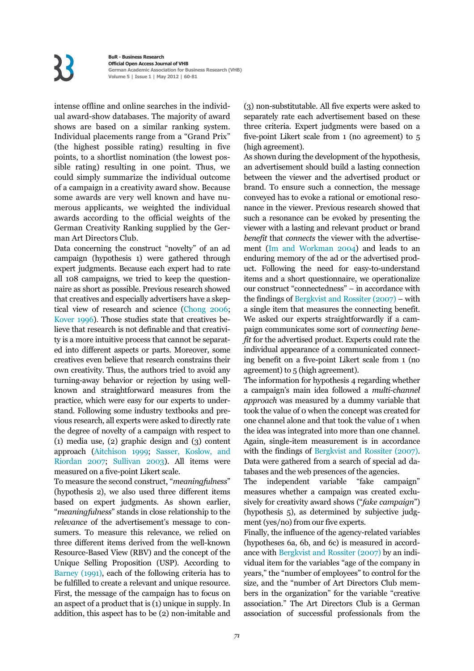$\mathbf{K}$ 

**BuR - Business Research Official Open Access Journal of VHB German Academic Association for Business Research (VHB) Volume 5 | Issue 1 | May 2012 | 60-81** 

intense offline and online searches in the individual award-show databases. The majority of award shows are based on a similar ranking system. Individual placements range from a "Grand Prix" (the highest possible rating) resulting in five points, to a shortlist nomination (the lowest possible rating) resulting in one point. Thus, we could simply summarize the individual outcome of a campaign in a creativity award show. Because some awards are very well known and have numerous applicants, we weighted the individual awards according to the official weights of the German Creativity Ranking supplied by the German Art Directors Club.

Data concerning the construct "novelty" of an ad campaign (hypothesis 1) were gathered through expert judgments. Because each expert had to rate all 108 campaigns, we tried to keep the questionnaire as short as possible. Previous research showed that creatives and especially advertisers have a skeptical view of research and science (Chong 2006; Kover 1996). Those studies state that creatives believe that research is not definable and that creativity is a more intuitive process that cannot be separated into different aspects or parts. Moreover, some creatives even believe that research constrains their own creativity. Thus, the authors tried to avoid any turning-away behavior or rejection by using wellknown and straightforward measures from the practice, which were easy for our experts to understand. Following some industry textbooks and previous research, all experts were asked to directly rate the degree of novelty of a campaign with respect to (1) media use, (2) graphic design and (3) content approach (Aitchison 1999; Sasser, Koslow, and Riordan 2007; Sullivan 2003). All items were measured on a five-point Likert scale.

To measure the second construct, "*meaningfulness*" (hypothesis 2), we also used three different items based on expert judgments. As shown earlier, "*meaningfulness*" stands in close relationship to the *relevance* of the advertisement's message to consumers. To measure this relevance, we relied on three different items derived from the well-known Resource-Based View (RBV) and the concept of the Unique Selling Proposition (USP). According to Barney (1991), each of the following criteria has to be fulfilled to create a relevant and unique resource. First, the message of the campaign has to focus on an aspect of a product that is (1) unique in supply. In addition, this aspect has to be (2) non-imitable and (3) non-substitutable. All five experts were asked to separately rate each advertisement based on these three criteria. Expert judgments were based on a five-point Likert scale from 1 (no agreement) to 5 (high agreement).

As shown during the development of the hypothesis, an advertisement should build a lasting connection between the viewer and the advertised product or brand. To ensure such a connection, the message conveyed has to evoke a rational or emotional resonance in the viewer. Previous research showed that such a resonance can be evoked by presenting the viewer with a lasting and relevant product or brand *benefit* that *connects* the viewer with the advertisement (Im and Workman 2004) and leads to an enduring memory of the ad or the advertised product. Following the need for easy-to-understand items and a short questionnaire, we operationalize our construct "connectedness" – in accordance with the findings of Bergkvist and Rossiter (2007) – with a single item that measures the connecting benefit. We asked our experts straightforwardly if a campaign communicates some sort of *connecting benefit* for the advertised product. Experts could rate the individual appearance of a communicated connecting benefit on a five-point Likert scale from 1 (no agreement) to 5 (high agreement).

The information for hypothesis 4 regarding whether a campaign's main idea followed a *multi-channel approach* was measured by a dummy variable that took the value of 0 when the concept was created for one channel alone and that took the value of 1 when the idea was integrated into more than one channel. Again, single-item measurement is in accordance with the findings of Bergkvist and Rossiter (2007). Data were gathered from a search of special ad databases and the web presences of the agencies.

The independent variable "fake campaign" measures whether a campaign was created exclusively for creativity award shows ("*fake campaign*") (hypothesis 5), as determined by subjective judgment (yes/no) from our five experts.

Finally, the influence of the agency-related variables (hypotheses 6a, 6b, and 6c) is measured in accordance with Bergkvist and Rossiter (2007) by an individual item for the variables "age of the company in years," the "number of employees" to control for the size, and the "number of Art Directors Club members in the organization" for the variable "creative association." The Art Directors Club is a German association of successful professionals from the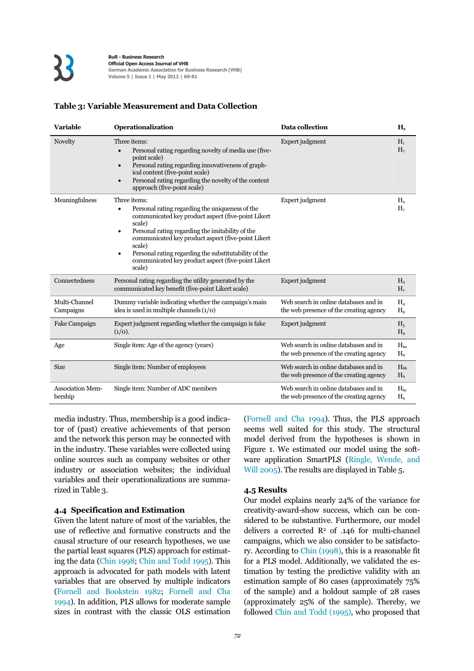#### **Table 3: Variable Measurement and Data Collection**

| <b>Variable</b>                    | Operationalization                                                                                                                                                                                                                                                                                                                                                                        | Data collection                                                                  | $H_{x}$                          |
|------------------------------------|-------------------------------------------------------------------------------------------------------------------------------------------------------------------------------------------------------------------------------------------------------------------------------------------------------------------------------------------------------------------------------------------|----------------------------------------------------------------------------------|----------------------------------|
| Novelty                            | Three items:<br>Personal rating regarding novelty of media use (five-<br>$\bullet$<br>point scale)<br>Personal rating regarding innovativeness of graph-<br>$\bullet$<br>ical content (five-point scale)<br>Personal rating regarding the novelty of the content<br>$\bullet$<br>approach (five-point scale)                                                                              | Expert judgment                                                                  | H <sub>1</sub><br>H <sub>7</sub> |
| Meaningfulness                     | Three items:<br>Personal rating regarding the uniqueness of the<br>communicated key product aspect (five-point Likert)<br>scale)<br>Personal rating regarding the imitability of the<br>٠<br>communicated key product aspect (five-point Likert)<br>scale)<br>Personal rating regarding the substitutability of the<br>٠<br>communicated key product aspect (five-point Likert)<br>scale) | Expert judgment                                                                  | H <sub>2</sub><br>H <sub>7</sub> |
| Connectedness                      | Personal rating regarding the utility generated by the<br>communicated key benefit (five-point Likert scale)                                                                                                                                                                                                                                                                              | Expert judgment                                                                  | $H_3$<br>H <sub>7</sub>          |
| Multi-Channel<br>Campaigns         | Dummy variable indicating whether the campaign's main<br>idea is used in multiple channels $(1/O)$                                                                                                                                                                                                                                                                                        | Web search in online databases and in<br>the web presence of the creating agency | $H_4$<br>H <sub>o</sub>          |
| Fake Campaign                      | Expert judgment regarding whether the campaign is fake<br>(1/0).                                                                                                                                                                                                                                                                                                                          | Expert judgment                                                                  | H <sub>5</sub><br>H <sub>o</sub> |
| Age                                | Single item: Age of the agency (years)                                                                                                                                                                                                                                                                                                                                                    | Web search in online databases and in<br>the web presence of the creating agency | $H_{6a}$<br>H <sub>o</sub>       |
| <b>Size</b>                        | Single item: Number of employees                                                                                                                                                                                                                                                                                                                                                          | Web search in online databases and in<br>the web presence of the creating agency | $H_{6h}$<br>H <sub>o</sub>       |
| <b>Association Mem-</b><br>bership | Single item: Number of ADC members                                                                                                                                                                                                                                                                                                                                                        | Web search in online databases and in<br>the web presence of the creating agency | $H_{6c}$<br>H <sub>o</sub>       |

media industry. Thus, membership is a good indicator of (past) creative achievements of that person and the network this person may be connected with in the industry. These variables were collected using online sources such as company websites or other industry or association websites; the individual variables and their operationalizations are summarized in Table 3.

#### **4.4 Specification and Estimation**

Given the latent nature of most of the variables, the use of reflective and formative constructs and the causal structure of our research hypotheses, we use the partial least squares (PLS) approach for estimating the data (Chin 1998; Chin and Todd 1995). This approach is advocated for path models with latent variables that are observed by multiple indicators (Fornell and Bookstein 1982; Fornell and Cha 1994). In addition, PLS allows for moderate sample sizes in contrast with the classic OLS estimation (Fornell and Cha 1994). Thus, the PLS approach seems well suited for this study. The structural model derived from the hypotheses is shown in Figure 1. We estimated our model using the software application SmartPLS (Ringle, Wende, and Will 2005). The results are displayed in Table 5.

#### **4.5 Results**

Our model explains nearly 24% of the variance for creativity-award-show success, which can be considered to be substantive. Furthermore, our model delivers a corrected  $R^2$  of .146 for multi-channel campaigns, which we also consider to be satisfactory. According to Chin (1998), this is a reasonable fit for a PLS model. Additionally, we validated the estimation by testing the predictive validity with an estimation sample of 80 cases (approximately 75% of the sample) and a holdout sample of 28 cases (approximately 25% of the sample). Thereby, we followed Chin and Todd (1995), who proposed that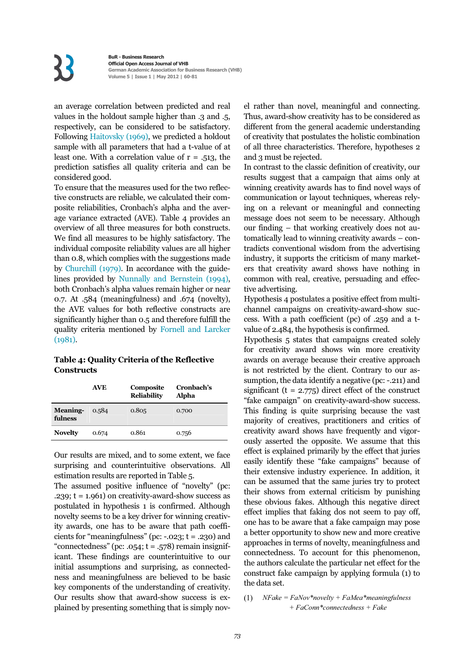an average correlation between predicted and real values in the holdout sample higher than .3 and .5, respectively, can be considered to be satisfactory. Following Haitovsky (1969), we predicted a holdout sample with all parameters that had a t-value of at least one. With a correlation value of  $r = .513$ , the prediction satisfies all quality criteria and can be considered good.

To ensure that the measures used for the two reflective constructs are reliable, we calculated their composite reliabilities, Cronbach's alpha and the average variance extracted (AVE). Table 4 provides an overview of all three measures for both constructs. We find all measures to be highly satisfactory. The individual composite reliability values are all higher than 0.8, which complies with the suggestions made by Churchill (1979). In accordance with the guidelines provided by Nunnally and Bernstein (1994), both Cronbach's alpha values remain higher or near 0.7. At .584 (meaningfulness) and .674 (novelty), the AVE values for both reflective constructs are significantly higher than 0.5 and therefore fulfill the quality criteria mentioned by Fornell and Larcker (1981).

#### **Table 4: Quality Criteria of the Reflective Constructs**

|                            | <b>AVE</b> | Composite<br><b>Reliability</b> | Cronbach's<br>Alpha |
|----------------------------|------------|---------------------------------|---------------------|
| <b>Meaning-</b><br>fulness | 0.584      | 0.805                           | 0.700               |
| <b>Novelty</b>             | 0.674      | 0.861                           | 0.756               |

Our results are mixed, and to some extent, we face surprising and counterintuitive observations. All estimation results are reported in Table 5.

The assumed positive influence of "novelty" (pc: .239;  $t = 1.961$  on creativity-award-show success as postulated in hypothesis 1 is confirmed. Although novelty seems to be a key driver for winning creativity awards, one has to be aware that path coefficients for "meaningfulness" (pc: -.023;  $t = .230$ ) and "connectedness" (pc: .054;  $t = .578$ ) remain insignificant. These findings are counterintuitive to our initial assumptions and surprising, as connectedness and meaningfulness are believed to be basic key components of the understanding of creativity. Our results show that award-show success is explained by presenting something that is simply novel rather than novel, meaningful and connecting. Thus, award-show creativity has to be considered as different from the general academic understanding of creativity that postulates the holistic combination of all three characteristics. Therefore, hypotheses 2 and 3 must be rejected.

In contrast to the classic definition of creativity, our results suggest that a campaign that aims only at winning creativity awards has to find novel ways of communication or layout techniques, whereas relying on a relevant or meaningful and connecting message does not seem to be necessary. Although our finding – that working creatively does not automatically lead to winning creativity awards – contradicts conventional wisdom from the advertising industry, it supports the criticism of many marketers that creativity award shows have nothing in common with real, creative, persuading and effective advertising.

Hypothesis 4 postulates a positive effect from multichannel campaigns on creativity-award-show success. With a path coefficient (pc) of .259 and a tvalue of 2.484, the hypothesis is confirmed.

Hypothesis 5 states that campaigns created solely for creativity award shows win more creativity awards on average because their creative approach is not restricted by the client. Contrary to our assumption, the data identify a negative (pc: -.211) and significant ( $t = 2.775$ ) direct effect of the construct "fake campaign" on creativity-award-show success. This finding is quite surprising because the vast majority of creatives, practitioners and critics of creativity award shows have frequently and vigorously asserted the opposite. We assume that this effect is explained primarily by the effect that juries easily identify these "fake campaigns" because of their extensive industry experience. In addition, it can be assumed that the same juries try to protect their shows from external criticism by punishing these obvious fakes. Although this negative direct effect implies that faking dos not seem to pay off, one has to be aware that a fake campaign may pose a better opportunity to show new and more creative approaches in terms of novelty, meaningfulness and connectedness. To account for this phenomenon, the authors calculate the particular net effect for the construct fake campaign by applying formula (1) to the data set.

(1) *NFake = FaNov\*novelty + FaMea\*meaningfulness + FaConn\*connectedness + Fake*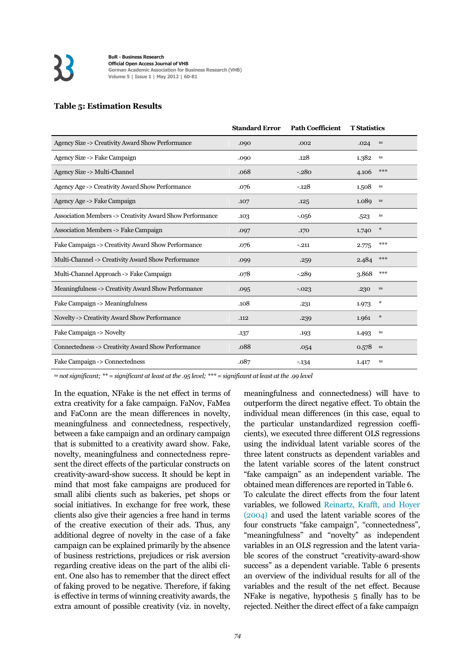#### **Table 5: Estimation Results**

| <b>Standard Error</b> | <b>Path Coefficient</b> | <b>T</b> Statistics |                        |
|-----------------------|-------------------------|---------------------|------------------------|
| .090                  | .002                    | .024                | $\mathbf{n}\mathbf{s}$ |
| .090                  | .128                    | 1.382               | $\operatorname{ns}$    |
| .068                  | $-280$                  | 4.106               | ***                    |
| .076                  | $-.128$                 | 1.508               | $\operatorname{ns}$    |
| .107                  | .125                    | 1.089               | ns                     |
| .103                  | $-.056$                 | .523                | ns                     |
| .097                  | .170                    | 1.740               | $\ast$                 |
| .076                  | $-.211$                 | 2.775               | ***                    |
| .099                  | .259                    | 2.484               | $***$                  |
| .078                  | $-289$                  | 3.868               | ***                    |
| .095                  | $-0.023$                | .230                | ns                     |
| .108                  | .231                    | 1.973               | ∗                      |
| .112                  | .239                    | 1.961               | $\ast$                 |
| .137                  | .193                    | 1.493               | ns                     |
| .088                  | .054                    | 0.578               | $\operatorname{ns}$    |
| .087                  | $-134$                  | 1.417               | ns                     |
|                       |                         |                     |                        |

*ns not significant;* \*\* = significant at least at the .95 level; \*\*\* = significant at least at the .99 level

In the equation, NFake is the net effect in terms of extra creativity for a fake campaign. FaNov, FaMea and FaConn are the mean differences in novelty, meaningfulness and connectedness, respectively, between a fake campaign and an ordinary campaign that is submitted to a creativity award show. Fake, novelty, meaningfulness and connectedness represent the direct effects of the particular constructs on creativity-award-show success. It should be kept in mind that most fake campaigns are produced for small alibi clients such as bakeries, pet shops or social initiatives. In exchange for free work, these clients also give their agencies a free hand in terms of the creative execution of their ads. Thus, any additional degree of novelty in the case of a fake campaign can be explained primarily by the absence of business restrictions, prejudices or risk aversion regarding creative ideas on the part of the alibi client. One also has to remember that the direct effect of faking proved to be negative. Therefore, if faking is effective in terms of winning creativity awards, the extra amount of possible creativity (viz. in novelty,

meaningfulness and connectedness) will have to outperform the direct negative effect. To obtain the individual mean differences (in this case, equal to the particular unstandardized regression coefficients), we executed three different OLS regressions using the individual latent variable scores of the three latent constructs as dependent variables and the latent variable scores of the latent construct "fake campaign" as an independent variable. The obtained mean differences are reported in Table 6. To calculate the direct effects from the four latent variables, we followed Reinartz, Krafft, and Hoyer (2004) and used the latent variable scores of the four constructs "fake campaign", "connectedness", "meaningfulness" and "novelty" as independent variables in an OLS regression and the latent variable scores of the construct "creativity-award-show success" as a dependent variable. Table 6 presents an overview of the individual results for all of the variables and the result of the net effect. Because NFake is negative, hypothesis 5 finally has to be rejected. Neither the direct effect of a fake campaign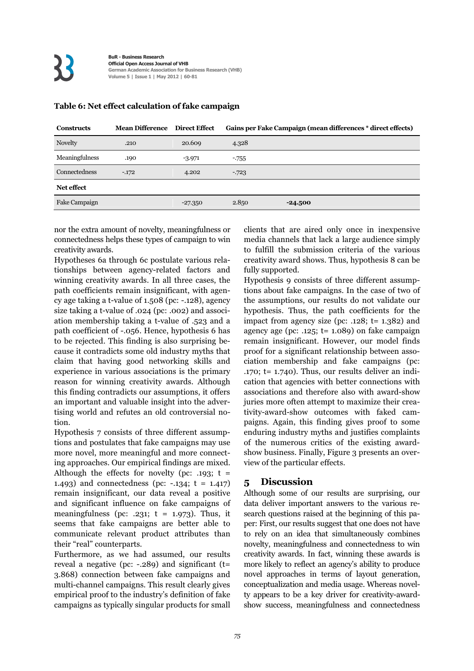| <b>Constructs</b>    | <b>Mean Difference</b> Direct Effect |           |        | Gains per Fake Campaign (mean differences * direct effects) |
|----------------------|--------------------------------------|-----------|--------|-------------------------------------------------------------|
| Novelty              | .210                                 | 20.609    | 4.328  |                                                             |
| Meaningfulness       | .190                                 | $-3.971$  | $-755$ |                                                             |
| Connectedness        | $-172$                               | 4.202     | $-723$ |                                                             |
| Net effect           |                                      |           |        |                                                             |
| <b>Fake Campaign</b> |                                      | $-27.350$ | 2.850  | $-24.500$                                                   |

#### **Table 6: Net effect calculation of fake campaign**

nor the extra amount of novelty, meaningfulness or connectedness helps these types of campaign to win creativity awards.

Hypotheses 6a through 6c postulate various relationships between agency-related factors and winning creativity awards. In all three cases, the path coefficients remain insignificant, with agency age taking a t-value of 1.508 (pc: -.128), agency size taking a t-value of .024 (pc: .002) and association membership taking a t-value of .523 and a path coefficient of -.056. Hence, hypothesis 6 has to be rejected. This finding is also surprising because it contradicts some old industry myths that claim that having good networking skills and experience in various associations is the primary reason for winning creativity awards. Although this finding contradicts our assumptions, it offers an important and valuable insight into the advertising world and refutes an old controversial notion.

Hypothesis 7 consists of three different assumptions and postulates that fake campaigns may use more novel, more meaningful and more connecting approaches. Our empirical findings are mixed. Although the effects for novelty (pc: .193;  $t =$ 1.493) and connectedness (pc: -.134; t = 1.417) remain insignificant, our data reveal a positive and significant influence on fake campaigns of meaningfulness (pc: .231;  $t = 1.973$ ). Thus, it seems that fake campaigns are better able to communicate relevant product attributes than their "real" counterparts.

Furthermore, as we had assumed, our results reveal a negative (pc: -.289) and significant (t= 3.868) connection between fake campaigns and multi-channel campaigns. This result clearly gives empirical proof to the industry's definition of fake campaigns as typically singular products for small clients that are aired only once in inexpensive media channels that lack a large audience simply to fulfill the submission criteria of the various creativity award shows. Thus, hypothesis 8 can be fully supported.

Hypothesis 9 consists of three different assumptions about fake campaigns. In the case of two of the assumptions, our results do not validate our hypothesis. Thus, the path coefficients for the impact from agency size (pc: .128;  $t= 1.382$ ) and agency age (pc: .125;  $t = 1.089$ ) on fake campaign remain insignificant. However, our model finds proof for a significant relationship between association membership and fake campaigns (pc: .170;  $t= 1.740$ ). Thus, our results deliver an indication that agencies with better connections with associations and therefore also with award-show juries more often attempt to maximize their creativity-award-show outcomes with faked campaigns. Again, this finding gives proof to some enduring industry myths and justifies complaints of the numerous critics of the existing awardshow business. Finally, Figure 3 presents an overview of the particular effects.

#### **5 Discussion**

Although some of our results are surprising, our data deliver important answers to the various research questions raised at the beginning of this paper: First, our results suggest that one does not have to rely on an idea that simultaneously combines novelty, meaningfulness and connectedness to win creativity awards. In fact, winning these awards is more likely to reflect an agency's ability to produce novel approaches in terms of layout generation, conceptualization and media usage. Whereas novelty appears to be a key driver for creativity-awardshow success, meaningfulness and connectedness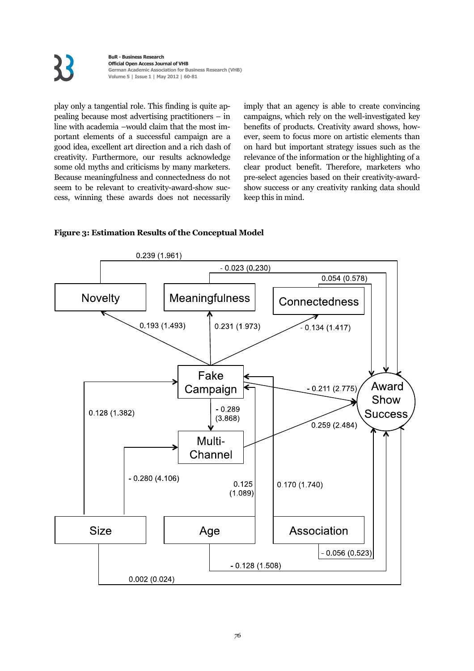

play only a tangential role. This finding is quite appealing because most advertising practitioners – in line with academia –would claim that the most important elements of a successful campaign are a good idea, excellent art direction and a rich dash of creativity. Furthermore, our results acknowledge some old myths and criticisms by many marketers. Because meaningfulness and connectedness do not seem to be relevant to creativity-award-show success, winning these awards does not necessarily imply that an agency is able to create convincing campaigns, which rely on the well-investigated key benefits of products. Creativity award shows, however, seem to focus more on artistic elements than on hard but important strategy issues such as the relevance of the information or the highlighting of a clear product benefit. Therefore, marketers who pre-select agencies based on their creativity-awardshow success or any creativity ranking data should keep this in mind.



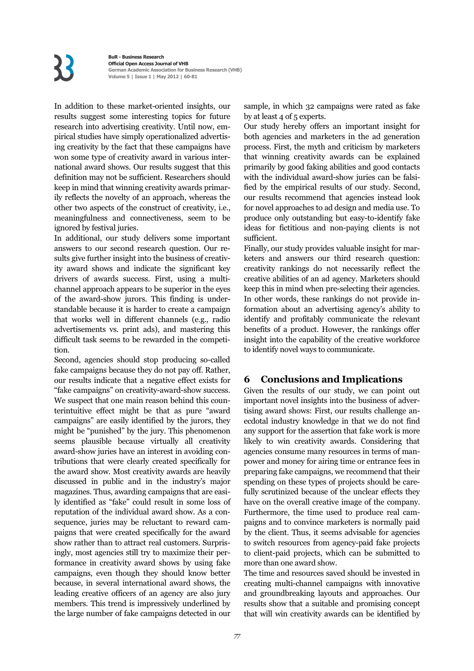In addition to these market-oriented insights, our results suggest some interesting topics for future research into advertising creativity. Until now, empirical studies have simply operationalized advertising creativity by the fact that these campaigns have won some type of creativity award in various international award shows. Our results suggest that this definition may not be sufficient. Researchers should keep in mind that winning creativity awards primarily reflects the novelty of an approach, whereas the other two aspects of the construct of creativity, i.e., meaningfulness and connectiveness, seem to be ignored by festival juries.

In additional, our study delivers some important answers to our second research question. Our results give further insight into the business of creativity award shows and indicate the significant key drivers of awards success. First, using a multichannel approach appears to be superior in the eyes of the award-show jurors. This finding is understandable because it is harder to create a campaign that works well in different channels (e.g., radio advertisements vs. print ads), and mastering this difficult task seems to be rewarded in the competition.

Second, agencies should stop producing so-called fake campaigns because they do not pay off. Rather, our results indicate that a negative effect exists for "fake campaigns" on creativity-award-show success. We suspect that one main reason behind this counterintuitive effect might be that as pure "award campaigns" are easily identified by the jurors, they might be "punished" by the jury. This phenomenon seems plausible because virtually all creativity award-show juries have an interest in avoiding contributions that were clearly created specifically for the award show. Most creativity awards are heavily discussed in public and in the industry's major magazines. Thus, awarding campaigns that are easily identified as "fake" could result in some loss of reputation of the individual award show. As a consequence, juries may be reluctant to reward campaigns that were created specifically for the award show rather than to attract real customers. Surprisingly, most agencies still try to maximize their performance in creativity award shows by using fake campaigns, even though they should know better because, in several international award shows, the leading creative officers of an agency are also jury members. This trend is impressively underlined by the large number of fake campaigns detected in our sample, in which 32 campaigns were rated as fake by at least 4 of 5 experts.

Our study hereby offers an important insight for both agencies and marketers in the ad generation process. First, the myth and criticism by marketers that winning creativity awards can be explained primarily by good faking abilities and good contacts with the individual award-show juries can be falsified by the empirical results of our study. Second, our results recommend that agencies instead look for novel approaches to ad design and media use. To produce only outstanding but easy-to-identify fake ideas for fictitious and non-paying clients is not sufficient.

Finally, our study provides valuable insight for marketers and answers our third research question: creativity rankings do not necessarily reflect the creative abilities of an ad agency. Marketers should keep this in mind when pre-selecting their agencies. In other words, these rankings do not provide information about an advertising agency's ability to identify and profitably communicate the relevant benefits of a product. However, the rankings offer insight into the capability of the creative workforce to identify novel ways to communicate.

#### **6 Conclusions and Implications**

Given the results of our study, we can point out important novel insights into the business of advertising award shows: First, our results challenge anecdotal industry knowledge in that we do not find any support for the assertion that fake work is more likely to win creativity awards. Considering that agencies consume many resources in terms of manpower and money for airing time or entrance fees in preparing fake campaigns, we recommend that their spending on these types of projects should be carefully scrutinized because of the unclear effects they have on the overall creative image of the company. Furthermore, the time used to produce real campaigns and to convince marketers is normally paid by the client. Thus, it seems advisable for agencies to switch resources from agency-paid fake projects to client-paid projects, which can be submitted to more than one award show.

The time and resources saved should be invested in creating multi-channel campaigns with innovative and groundbreaking layouts and approaches. Our results show that a suitable and promising concept that will win creativity awards can be identified by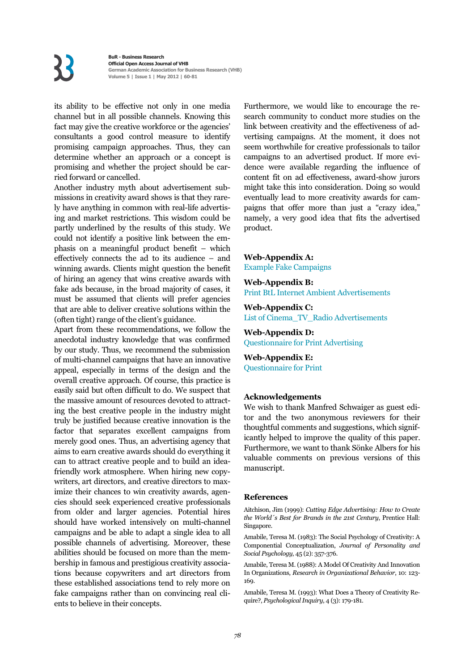its ability to be effective not only in one media channel but in all possible channels. Knowing this fact may give the creative workforce or the agencies' consultants a good control measure to identify promising campaign approaches. Thus, they can determine whether an approach or a concept is promising and whether the project should be carried forward or cancelled.

Another industry myth about advertisement submissions in creativity award shows is that they rarely have anything in common with real-life advertising and market restrictions. This wisdom could be partly underlined by the results of this study. We could not identify a positive link between the emphasis on a meaningful product benefit – which effectively connects the ad to its audience – and winning awards. Clients might question the benefit of hiring an agency that wins creative awards with fake ads because, in the broad majority of cases, it must be assumed that clients will prefer agencies that are able to deliver creative solutions within the (often tight) range of the client's guidance.

Apart from these recommendations, we follow the anecdotal industry knowledge that was confirmed by our study. Thus, we recommend the submission of multi-channel campaigns that have an innovative appeal, especially in terms of the design and the overall creative approach. Of course, this practice is easily said but often difficult to do. We suspect that the massive amount of resources devoted to attracting the best creative people in the industry might truly be justified because creative innovation is the factor that separates excellent campaigns from merely good ones. Thus, an advertising agency that aims to earn creative awards should do everything it can to attract creative people and to build an ideafriendly work atmosphere. When hiring new copywriters, art directors, and creative directors to maximize their chances to win creativity awards, agencies should seek experienced creative professionals from older and larger agencies. Potential hires should have worked intensively on multi-channel campaigns and be able to adapt a single idea to all possible channels of advertising. Moreover, these abilities should be focused on more than the membership in famous and prestigious creativity associations because copywriters and art directors from these established associations tend to rely more on fake campaigns rather than on convincing real clients to believe in their concepts.

Furthermore, we would like to encourage the research community to conduct more studies on the link between creativity and the effectiveness of advertising campaigns. At the moment, it does not seem worthwhile for creative professionals to tailor campaigns to an advertised product. If more evidence were available regarding the influence of content fit on ad effectiveness, award-show jurors might take this into consideration. Doing so would eventually lead to more creativity awards for campaigns that offer more than just a "crazy idea," namely, a very good idea that fits the advertised product.

#### **Web-Appendix A:** Example Fake Campaigns

#### **Web-Appendix B:**

Print BtL Internet Ambient Advertisements

**Web-Appendix C:** List of Cinema\_TV\_Radio Advertisements

**Web-Appendix D:** Questionnaire for Print Advertising

**Web-Appendix E:** Questionnaire for Print

#### **Acknowledgements**

We wish to thank Manfred Schwaiger as guest editor and the two anonymous reviewers for their thoughtful comments and suggestions, which significantly helped to improve the quality of this paper. Furthermore, we want to thank Sönke Albers for his valuable comments on previous versions of this manuscript.

#### **References**

Aitchison, Jim (1999): *Cutting Edge Advertising: How to Create the World´s Best for Brands in the 21st Century*, Prentice Hall: Singapore.

Amabile, Teresa M. (1983): The Social Psychology of Creativity: A Componential Conceptualization, *Journal of Personality and Social Psychology*, 45 (2): 357-376.

Amabile, Teresa M. (1988): A Model Of Creativity And Innovation In Organizations, *Research in Organizational Behavior*, 10: 123- 169.

Amabile, Teresa M. (1993): What Does a Theory of Creativity Require?, *Psychological Inquiry*, 4 (3): 179-181.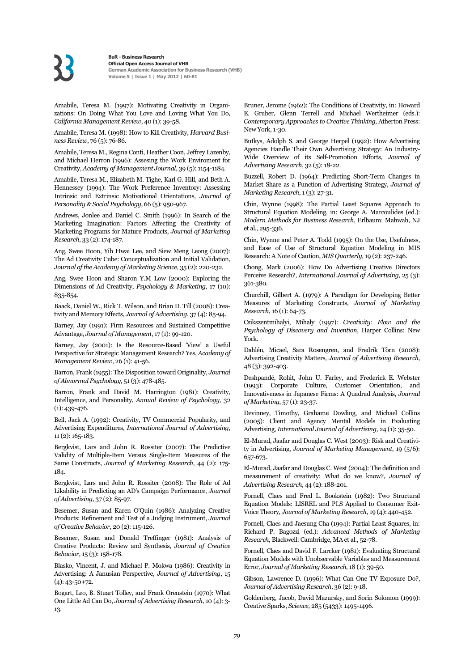Amabile, Teresa M. (1997): Motivating Creativity in Organizations: On Doing What You Love and Loving What You Do, *California Management Review*, 40 (1): 39-58.

Amabile, Teresa M. (1998): How to Kill Creativity, *Harvard Business Review*, 76 (5): 76-86.

Amabile, Teresa M., Regina Conti, Heather Coon, Jeffrey Lazenby, and Michael Herron (1996): Assesing the Work Enviroment for Creativity, *Academy of Management Journal*, 39 (5): 1154-1184.

Amabile, Teresa M., Elizabeth M. Tighe, Karl G. Hill, and Beth A. Hennessey (1994): The Work Preference Inventory: Assessing Intrinsic and Extrinsic Motivational Orientations, *Journal of Personality & Social Psychology*, 66 (5): 950-967.

Andrews, Jonlee and Daniel C. Smith (1996): In Search of the Marketing Imagination: Factors Affecting the Creativity of Marketing Programs for Mature Products, *Journal of Marketing Research*, 33 (2): 174-187.

Ang, Swee Hoon, Yih Hwai Lee, and Siew Meng Leong (2007): The Ad Creativity Cube: Conceptualization and Initial Validation, *Journal of the Academy of Marketing Science*, 35 (2): 220-232.

Ang, Swee Hoon and Sharon Y.M Low (2000): Exploring the Dimensions of Ad Creativity, *Psychology & Marketing*, 17 (10): 835-854.

Baack, Daniel W., Rick T. Wilson, and Brian D. Till (2008): Creativity and Memory Effects, *Journal of Advertising*, 37 (4): 85-94.

Barney, Jay (1991): Firm Resources and Sustained Competitive Advantage, *Journal of Management*, 17 (1): 99-120.

Barney, Jay (2001): Is the Resource-Based 'View' a Useful Perspective for Strategic Management Research? Yes, *Academy of Management Review*, 26 (1): 41-56.

Barron, Frank (1955): The Disposition toward Originality, *Journal of Abnormal Psychology*, 51 (3): 478-485.

Barron, Frank and David M. Harrington (1981): Creativity, Intelligence, and Personality, *Annual Review of Psychology*, 32 (1): 439-476.

Bell, Jack A. (1992): Creativity, TV Commercial Popularity, and Advertising Expenditures, *International Journal of Advertising*, 11 (2): 165-183.

Bergkvist, Lars and John R. Rossiter (2007): The Predictive Validity of Multiple-Item Versus Single-Item Measures of the Same Constructs, *Journal of Marketing Research*, 44 (2): 175- 184.

Bergkvist, Lars and John R. Rossiter (2008): The Role of Ad Likability in Predicting an AD's Campaign Performance, *Journal of Advertising*, 37 (2): 85-97.

Besemer, Susan and Karen O'Quin (1986): Analyzing Creative Products: Refinement and Test of a Judging Instrument, *Journal of Creative Behavior*, 20 (2): 115-126.

Besemer, Susan and Donald Treffinger (1981): Analysis of Creative Products: Review and Synthesis, *Journal of Creative Behavior*, 15 (3): 158-178.

Blasko, Vincent, J. and Michael P. Mokwa (1986): Creativity in Advertising: A Janusian Perspective, *Journal of Advertising*, 15  $(A): 43 - 50 + 72.$ 

Bogart, Leo, B. Stuart Tolley, and Frank Orenstein (1970): What One Little Ad Can Do, *Journal of Advertising Research*, 10 (4): 3- 13.

Bruner, Jerome (1962): The Conditions of Creativity, in: Howard E. Gruber, Glenn Terrell and Michael Wertheimer (eds.): *Contemporary Approaches to Creative Thinking*, Atherton Press: New York, 1-30.

Butkys, Adolph S. and George Herpel (1992): How Advertising Agencies Handle Their Own Advertising Strategy: An Industry-Wide Overview of its Self-Promotion Efforts, *Journal of Advertising Research*, 32 (5): 18-22.

Buzzell, Robert D. (1964): Predicting Short-Term Changes in Market Share as a Function of Advertising Strategy, *Journal of Marketing Research*, 1 (3): 27-31.

Chin, Wynne (1998): The Partial Least Squares Approach to Structural Equation Modeling, in: George A. Marcoulides (ed.): *Modern Methods for Business Research*, Erlbaum: Mahwah, NJ et al., 295-336.

Chin, Wynne and Peter A. Todd (1995): On the Use, Usefulness, and Ease of Use of Structural Equation Modeling in MIS Research: A Note of Caution, *MIS Quarterly*, 19 (2): 237-246.

Chong, Mark (2006): How Do Advertising Creative Directors Perceive Research?, *International Journal of Advertising*, 25 (3): 361-380.

Churchill, Gilbert A. (1979): A Paradigm for Developing Better Measures of Marketing Constructs, *Journal of Marketing Research*, 16 (1): 64-73.

Csikszentmihalyi, Mihaly (1997): *Creativity: Flow and the Psychology of Discovery and Invention*, Harper Collins: New York.

Dahlén, Micael, Sara Rosengren, and Fredrik Törn (2008): Advertising Creativity Matters, *Journal of Advertising Research*, 48 (3): 392-403.

Deshpandé, Rohit, John U. Farley, and Frederick E. Webster (1993): Corporate Culture, Customer Orientation, and Innovativeness in Japanese Firms: A Quadrad Analysis, *Journal of Marketing*, 57 (1): 23-37.

Devinney, Timothy, Grahame Dowling, and Michael Collins (2005): Client and Agency Mental Models in Evaluating Advertising, *International Journal of Advertising*, 24 (1): 35-50.

El-Murad, Jaafar and Douglas C. West (2003): Risk and Creativity in Advertising, *Journal of Marketing Management*, 19 (5/6): 657-673.

El-Murad, Jaafar and Douglas C. West (2004): The definition and measurement of creativity: What do we know?, *Journal of Advertising Research*, 44 (2): 188-201.

Fornell, Claes and Fred L. Bookstein (1982): Two Structural Equation Models: LISREL and PLS Applied to Consumer Exit-Voice Theory, *Journal of Marketing Research*, 19 (4): 440-452.

Fornell, Claes and Jaesung Cha (1994): Partial Least Squares, in: Richard P. Bagozzi (ed.): *Advanced Methods of Marketing Research*, Blackwell: Cambridge, MA et al., 52-78.

Fornell, Claes and David F. Larcker (1981): Evaluating Structural Equation Models with Unobservable Variables and Measurement Error, *Journal of Marketing Research*, 18 (1): 39-50.

Gibson, Lawrence D. (1996): What Can One TV Exposure Do?, *Journal of Advertising Research*, 36 (2): 9-18.

Goldenberg, Jacob, David Mazursky, and Sorin Solomon (1999): Creative Sparks, *Science*, 285 (5433): 1495-1496.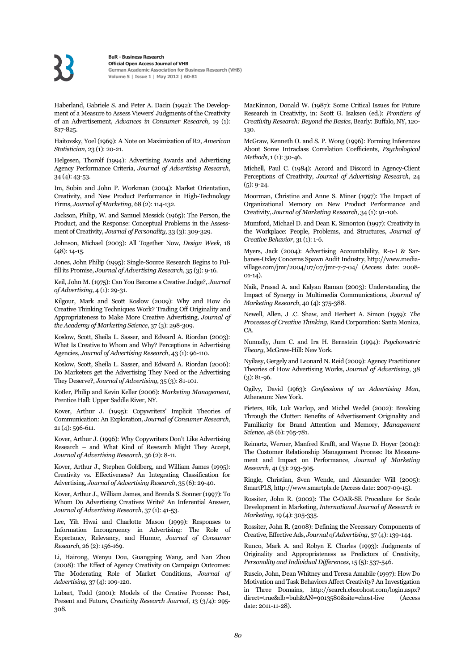

Haberland, Gabriele S. and Peter A. Dacin (1992): The Development of a Measure to Assess Viewers' Judgments of the Creativity of an Advertisement, *Advances in Consumer Research*, 19 (1): 817-825.

Haitovsky, Yoel (1969): A Note on Maximization of R2, *American Statistician*, 23 (1): 20-21.

Helgesen, Thorolf (1994): Advertising Awards and Advertising Agency Performance Criteria, *Journal of Advertising Research*, 34 (4): 43-53.

Im, Subin and John P. Workman (2004): Market Orientation, Creativity, and New Product Performance in High-Technology Firms, *Journal of Marketing*, 68 (2): 114-132.

Jackson, Philip, W. and Samuel Messick (1965): The Person, the Product, and the Response: Conceptual Problems in the Assessment of Creativity, *Journal of Personality*, 33 (3): 309-329.

Johnson, Michael (2003): All Together Now, *Design Week*, 18  $(48): 14-15.$ 

Jones, John Philip (1995): Single-Source Research Begins to Fulfill its Promise, *Journal of Advertising Research*, 35 (3): 9-16.

Keil, John M. (1975): Can You Become a Creative Judge?, *Journal of Advertising*, 4 (1): 29-31.

Kilgour, Mark and Scott Koslow (2009): Why and How do Creative Thinking Techniques Work? Trading Off Originality and Appropriateness to Make More Creative Advertising, *Journal of the Academy of Marketing Science*, 37 (3): 298-309.

Koslow, Scott, Sheila L. Sasser, and Edward A. Riordan (2003): What Is Creative to Whom and Why? Perceptions in Advertising Agencies, *Journal of Advertising Research*, 43 (1): 96-110.

Koslow, Scott, Sheila L. Sasser, and Edward A. Riordan (2006): Do Marketers get the Advertising They Need or the Advertising They Deserve?, *Journal of Advertising*, 35 (3): 81-101.

Kotler, Philip and Kevin Keller (2006): *Marketing Management*, Prentice Hall: Upper Saddle River, NY.

Kover, Arthur J. (1995): Copywriters' Implicit Theories of Communication: An Exploration, *Journal of Consumer Research*, 21 (4): 596-611.

Kover, Arthur J. (1996): Why Copywriters Don't Like Advertising Research – and What Kind of Research Might They Accept, *Journal of Advertising Research*, 36 (2): 8-11.

Kover, Arthur J., Stephen Goldberg, and William James (1995): Creativity vs. Effectiveness? An Integrating Classification for Advertising, *Journal of Advertising Research*, 35 (6): 29-40.

Kover, Arthur J., William James, and Brenda S. Sonner (1997): To Whom Do Advertising Creatives Write? An Inferential Answer, *Journal of Advertising Research*, 37 (1): 41-53.

Lee, Yih Hwai and Charlotte Mason (1999): Responses to Information Incongruency in Advertising: The Role of Expectancy, Relevancy, and Humor, *Journal of Consumer Research*, 26 (2): 156-169.

Li, Hairong, Wenyu Dou, Guangping Wang, and Nan Zhou (2008): The Effect of Agency Creativity on Campaign Outcomes: The Moderating Role of Market Conditions, *Journal of Advertising*, 37 (4): 109-120.

Lubart, Todd (2001): Models of the Creative Process: Past, Present and Future, *Creativity Research Journal*, 13 (3/4): 295- 308.

MacKinnon, Donald W. (1987): Some Critical Issues for Future Research in Creativity, in: Scott G. Isaksen (ed.): *Frontiers of Creativity Research: Beyond the Basics*, Bearly: Buffalo, NY, 120- 130.

McGraw, Kenneth O. and S. P. Wong (1996): Forming Inferences About Some Intraclass Correlation Coefficients, *Psychological Methods*, 1 (1): 30-46.

Michell, Paul C. (1984): Accord and Discord in Agency-Client Perceptions of Creativity, *Journal of Advertising Research*, 24  $(5): 9 - 24.$ 

Moorman, Christine and Anne S. Miner (1997): The Impact of Organizational Memory on New Product Performance and Creativity, *Journal of Marketing Research*, 34 (1): 91-106.

Mumford, Michael D. and Dean K. Simonton (1997): Creativity in the Workplace: People, Problems, and Structures, *Journal of Creative Behavior*, 31 (1): 1-6.

Myers, Jack (2004): Advertising Accountability, R-o-I & Sarbanes-Oxley Concerns Spawn Audit Industry, http://www.mediavillage.com/jmr/2004/07/07/jmr-7-7-04/ (Access date: 2008- 01-14).

Naik, Prasad A. and Kalyan Raman (2003): Understanding the Impact of Synergy in Multimedia Communications, *Journal of Marketing Research*, 40 (4): 375-388.

Newell, Allen, J .C. Shaw, and Herbert A. Simon (1959): *The Processes of Creative Thinking*, Rand Corporation: Santa Monica, C<sub>A</sub>

Nunnally, Jum C. and Ira H. Bernstein (1994): *Psychometric Theory*, McGraw-Hill: New York.

Nyilasy, Gergely and Leonard N. Reid (2009): Agency Practitioner Theories of How Advertising Works, *Journal of Advertising*, 38 (3): 81-96.

Ogilvy, David (1963): *Confessions of an Advertising Man*, Atheneum: New York.

Pieters, Rik, Luk Warlop, and Michel Wedel (2002): Breaking Through the Clutter: Benefits of Advertisement Originality and Familiarity for Brand Attention and Memory, *Management Science*, 48 (6): 765-781.

Reinartz, Werner, Manfred Krafft, and Wayne D. Hoyer (2004): The Customer Relationship Management Process: Its Measurement and Impact on Performance, *Journal of Marketing Research*, 41 (3): 293-305.

Ringle, Christian, Sven Wende, and Alexander Will (2005): SmartPLS, http://www.smartpls.de (Access date: 2007-09-15).

Rossiter, John R. (2002): The C-OAR-SE Procedure for Scale Development in Marketing, *International Journal of Research in Marketing*, 19 (4): 305-335.

Rossiter, John R. (2008): Defining the Necessary Components of Creative, Effective Ads, *Journal of Advertising*, 37 (4): 139-144.

Runco, Mark A. and Robyn E. Charles (1993): Judgments of Originality and Appropriateness as Predictors of Creativity, *Personality and Individual Differences*, 15 (5): 537-546.

Ruscio, John, Dean Whitney and Teresa Amabile (1997): How Do Motivation and Task Behaviors Affect Creativity? An Investigation in Three Domains, http://search.ebscohost.com/login.aspx? direct=true&db=buh&AN=9013580&site=ehost-live (Access date: 2011-11-28).